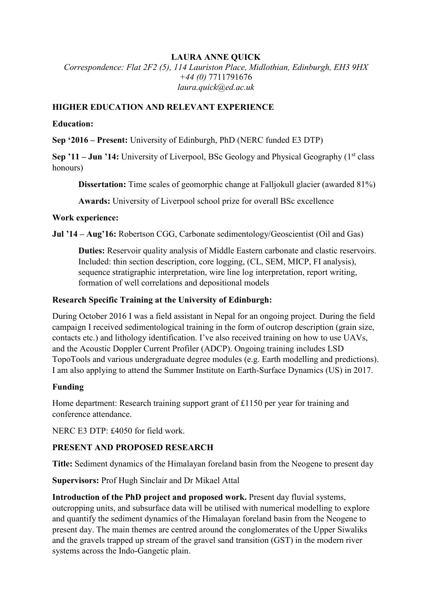## **LAURA ANNE QUICK**

*Correspondence: Flat 2F2 (5), 114 Lauriston Place, Midlothian, Edinburgh, EH3 9HX +44 (0)* 7711791676 *laura.quick@ed.ac.uk*

## **HIGHER EDUCATION AND RELEVANT EXPERIENCE**

#### **Education:**

**Sep '2016 – Present:** University of Edinburgh, PhD (NERC funded E3 DTP)

**Sep '11 – Jun '14:** University of Liverpool, BSc Geology and Physical Geography (1<sup>st</sup> class honours)

**Dissertation:** Time scales of geomorphic change at Falljokull glacier (awarded 81%)

**Awards:** University of Liverpool school prize for overall BSc excellence

### **Work experience:**

**Jul '14 – Aug'16:** Robertson CGG, Carbonate sedimentology/Geoscientist (Oil and Gas)

**Duties:** Reservoir quality analysis of Middle Eastern carbonate and clastic reservoirs. Included: thin section description, core logging, (CL, SEM, MICP, FI analysis), sequence stratigraphic interpretation, wire line log interpretation, report writing, formation of well correlations and depositional models

### **Research Specific Training at the University of Edinburgh:**

During October 2016 I was a field assistant in Nepal for an ongoing project. During the field campaign I received sedimentological training in the form of outcrop description (grain size, contacts etc.) and lithology identification. I've also received training on how to use UAVs, and the Acoustic Doppler Current Profiler (ADCP). Ongoing training includes LSD TopoTools and various undergraduate degree modules (e.g. Earth modelling and predictions). I am also applying to attend the Summer Institute on Earth-Surface Dynamics (US) in 2017.

## **Funding**

Home department: Research training support grant of £1150 per year for training and conference attendance.

NERC E3 DTP: £4050 for field work.

## **PRESENT AND PROPOSED RESEARCH**

**Title:** Sediment dynamics of the Himalayan foreland basin from the Neogene to present day

**Supervisors:** Prof Hugh Sinclair and Dr Mikael Attal

**Introduction of the PhD project and proposed work.** Present day fluvial systems, outcropping units, and subsurface data will be utilised with numerical modelling to explore and quantify the sediment dynamics of the Himalayan foreland basin from the Neogene to present day. The main themes are centred around the conglomerates of the Upper Siwaliks and the gravels trapped up stream of the gravel sand transition (GST) in the modern river systems across the Indo-Gangetic plain.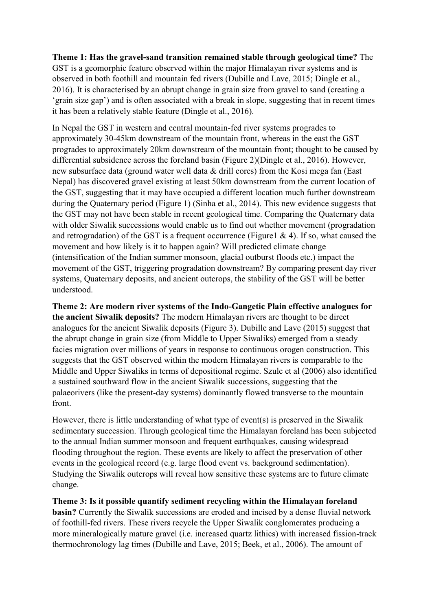**Theme 1: Has the gravel-sand transition remained stable through geological time?** The GST is a geomorphic feature observed within the major Himalayan river systems and is observed in both foothill and mountain fed rivers (Dubille and Lave, 2015; Dingle et al., 2016). It is characterised by an abrupt change in grain size from gravel to sand (creating a 'grain size gap') and is often associated with a break in slope, suggesting that in recent times it has been a relatively stable feature (Dingle et al., 2016).

In Nepal the GST in western and central mountain-fed river systems progrades to approximately 30-45km downstream of the mountain front, whereas in the east the GST progrades to approximately 20km downstream of the mountain front; thought to be caused by differential subsidence across the foreland basin (Figure 2)(Dingle et al., 2016). However, new subsurface data (ground water well data & drill cores) from the Kosi mega fan (East Nepal) has discovered gravel existing at least 50km downstream from the current location of the GST, suggesting that it may have occupied a different location much further downstream during the Quaternary period (Figure 1) (Sinha et al., 2014). This new evidence suggests that the GST may not have been stable in recent geological time. Comparing the Quaternary data with older Siwalik successions would enable us to find out whether movement (progradation and retrogradation) of the GST is a frequent occurrence (Figure 1  $\&$  4). If so, what caused the movement and how likely is it to happen again? Will predicted climate change (intensification of the Indian summer monsoon, glacial outburst floods etc.) impact the movement of the GST, triggering progradation downstream? By comparing present day river systems, Quaternary deposits, and ancient outcrops, the stability of the GST will be better understood.

**Theme 2: Are modern river systems of the Indo-Gangetic Plain effective analogues for the ancient Siwalik deposits?** The modern Himalayan rivers are thought to be direct analogues for the ancient Siwalik deposits (Figure 3). Dubille and Lave (2015) suggest that the abrupt change in grain size (from Middle to Upper Siwaliks) emerged from a steady facies migration over millions of years in response to continuous orogen construction. This suggests that the GST observed within the modern Himalayan rivers is comparable to the Middle and Upper Siwaliks in terms of depositional regime. Szulc et al (2006) also identified a sustained southward flow in the ancient Siwalik successions, suggesting that the palaeorivers (like the present-day systems) dominantly flowed transverse to the mountain front.

However, there is little understanding of what type of event(s) is preserved in the Siwalik sedimentary succession. Through geological time the Himalayan foreland has been subjected to the annual Indian summer monsoon and frequent earthquakes, causing widespread flooding throughout the region. These events are likely to affect the preservation of other events in the geological record (e.g. large flood event vs. background sedimentation). Studying the Siwalik outcrops will reveal how sensitive these systems are to future climate change.

**Theme 3: Is it possible quantify sediment recycling within the Himalayan foreland basin?** Currently the Siwalik successions are eroded and incised by a dense fluvial network of foothill-fed rivers. These rivers recycle the Upper Siwalik conglomerates producing a more mineralogically mature gravel (i.e. increased quartz lithics) with increased fission-track thermochronology lag times (Dubille and Lave, 2015; Beek, et al., 2006). The amount of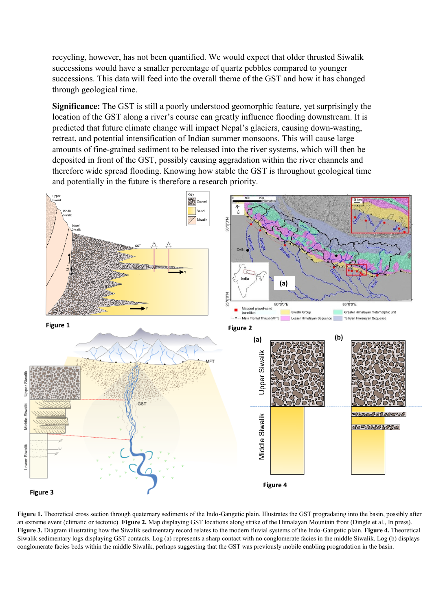recycling, however, has not been quantified. We would expect that older thrusted Siwalik successions would have a smaller percentage of quartz pebbles compared to younger successions. This data will feed into the overall theme of the GST and how it has changed through geological time.

**Significance:** The GST is still a poorly understood geomorphic feature, yet surprisingly the location of the GST along a river's course can greatly influence flooding downstream. It is predicted that future climate change will impact Nepal's glaciers, causing down-wasting, retreat, and potential intensification of Indian summer monsoons. This will cause large amounts of fine-grained sediment to be released into the river systems, which will then be deposited in front of the GST, possibly causing aggradation within the river channels and therefore wide spread flooding. Knowing how stable the GST is throughout geological time and potentially in the future is therefore a research priority.



Figure 1. Theoretical cross section through quaternary sediments of the Indo-Gangetic plain. Illustrates the GST progradating into the basin, possibly after an extreme event (climatic or tectonic). **Figure 2.** Map displaying GST locations along strike of the Himalayan Mountain front (Dingle et al., In press). **Figure 3.** Diagram illustrating how the Siwalik sedimentary record relates to the modern fluvial systems of the Indo-Gangetic plain. **Figure 4.** Theoretical Siwalik sedimentary logs displaying GST contacts. Log (a) represents a sharp contact with no conglomerate facies in the middle Siwalik. Log (b) displays conglomerate facies beds within the middle Siwalik, perhaps suggesting that the GST was previously mobile enabling progradation in the basin.